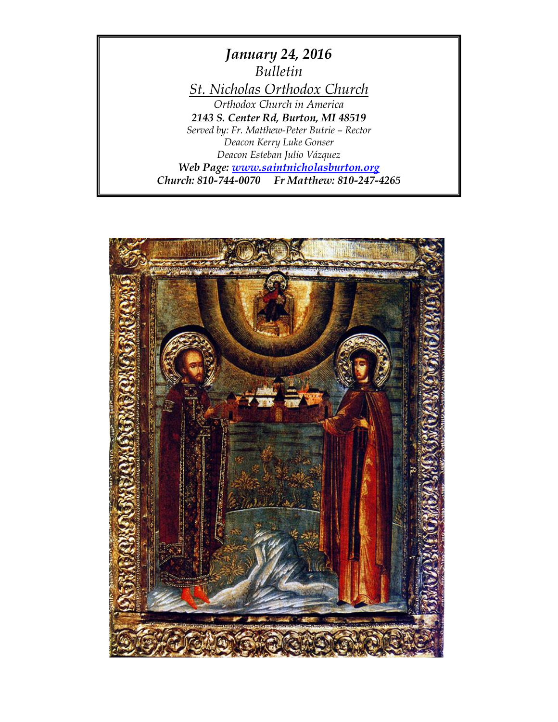*January 24, 2016 Bulletin St. Nicholas Orthodox Church Orthodox Church in America 2143 S. Center Rd, Burton, MI 48519 Served by: Fr. Matthew-Peter Butrie – Rector Deacon Kerry Luke Gonser Deacon Esteban Julio Vázquez Web Page: [www.saintnicholasburton.org](http://www.saintnicholasburton.org/) Church: 810-744-0070 Fr Matthew: 810-247-4265*

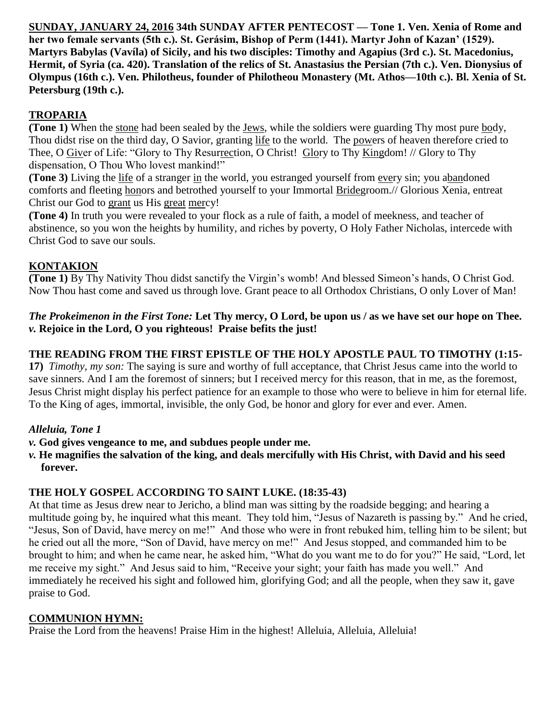**SUNDAY, JANUARY 24, 2016 34th SUNDAY AFTER PENTECOST — Tone 1. Ven. Xenia of Rome and her two female servants (5th c.). St. Gerásim, Bishop of Perm (1441). Martyr John of Kazan' (1529). Martyrs Babylas (Vavíla) of Sicily, and his two disciples: Timothy and Agapius (3rd c.). St. Macedonius, Hermit, of Syria (ca. 420). Translation of the relics of St. Anastasius the Persian (7th c.). Ven. Dionysius of Olympus (16th c.). Ven. Philotheus, founder of Philotheou Monastery (Mt. Athos—10th c.). Bl. Xenia of St. Petersburg (19th c.).**

# **TROPARIA**

**(Tone 1)** When the stone had been sealed by the Jews, while the soldiers were guarding Thy most pure body, Thou didst rise on the third day, O Savior, granting life to the world. The powers of heaven therefore cried to Thee, O Giver of Life: "Glory to Thy Resurrection, O Christ! Glory to Thy Kingdom! // Glory to Thy dispensation, O Thou Who lovest mankind!"

**(Tone 3)** Living the life of a stranger in the world, you estranged yourself from every sin; you abandoned comforts and fleeting honors and betrothed yourself to your Immortal Bridegroom.// Glorious Xenia, entreat Christ our God to grant us His great mercy!

**(Tone 4)** In truth you were revealed to your flock as a rule of faith, a model of meekness, and teacher of abstinence, so you won the heights by humility, and riches by poverty, O Holy Father Nicholas, intercede with Christ God to save our souls.

## **KONTAKION**

**(Tone 1)** By Thy Nativity Thou didst sanctify the Virgin's womb! And blessed Simeon's hands, O Christ God. Now Thou hast come and saved us through love. Grant peace to all Orthodox Christians, O only Lover of Man!

### *The Prokeimenon in the First Tone:* **Let Thy mercy, O Lord, be upon us / as we have set our hope on Thee.** *v.* **Rejoice in the Lord, O you righteous! Praise befits the just!**

# **THE READING FROM THE FIRST EPISTLE OF THE HOLY APOSTLE PAUL TO TIMOTHY (1:15-**

**17)** *Timothy, my son:* The saying is sure and worthy of full acceptance, that Christ Jesus came into the world to save sinners. And I am the foremost of sinners; but I received mercy for this reason, that in me, as the foremost, Jesus Christ might display his perfect patience for an example to those who were to believe in him for eternal life. To the King of ages, immortal, invisible, the only God, be honor and glory for ever and ever. Amen.

## *Alleluia, Tone 1*

- *v.* **God gives vengeance to me, and subdues people under me.**
- *v.* **He magnifies the salvation of the king, and deals mercifully with His Christ, with David and his seed forever.**

## **THE HOLY GOSPEL ACCORDING TO SAINT LUKE. (18:35-43)**

At that time as Jesus drew near to Jericho, a blind man was sitting by the roadside begging; and hearing a multitude going by, he inquired what this meant. They told him, "Jesus of Nazareth is passing by." And he cried, "Jesus, Son of David, have mercy on me!" And those who were in front rebuked him, telling him to be silent; but he cried out all the more, "Son of David, have mercy on me!" And Jesus stopped, and commanded him to be brought to him; and when he came near, he asked him, "What do you want me to do for you?" He said, "Lord, let me receive my sight." And Jesus said to him, "Receive your sight; your faith has made you well." And immediately he received his sight and followed him, glorifying God; and all the people, when they saw it, gave praise to God.

## **COMMUNION HYMN:**

Praise the Lord from the heavens! Praise Him in the highest! Alleluia, Alleluia, Alleluia!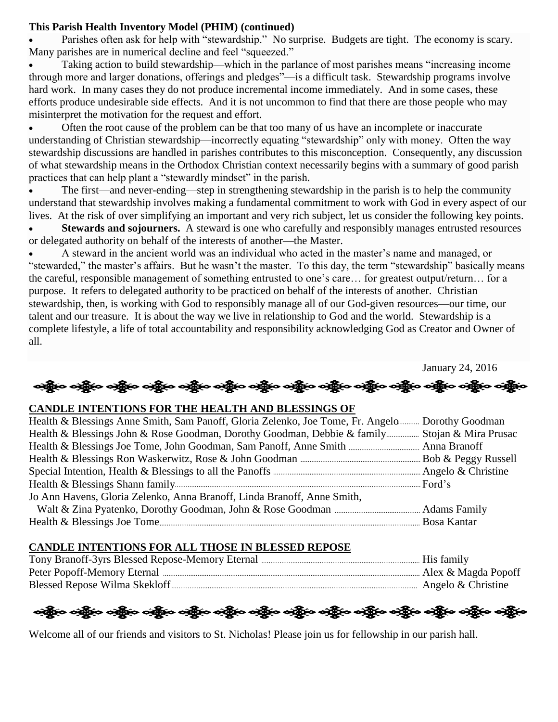#### **This Parish Health Inventory Model (PHIM) (continued)**

 Parishes often ask for help with "stewardship." No surprise. Budgets are tight. The economy is scary. Many parishes are in numerical decline and feel "squeezed."

 Taking action to build stewardship—which in the parlance of most parishes means "increasing income through more and larger donations, offerings and pledges"—is a difficult task. Stewardship programs involve hard work. In many cases they do not produce incremental income immediately. And in some cases, these efforts produce undesirable side effects. And it is not uncommon to find that there are those people who may misinterpret the motivation for the request and effort.

 Often the root cause of the problem can be that too many of us have an incomplete or inaccurate understanding of Christian stewardship—incorrectly equating "stewardship" only with money. Often the way stewardship discussions are handled in parishes contributes to this misconception. Consequently, any discussion of what stewardship means in the Orthodox Christian context necessarily begins with a summary of good parish practices that can help plant a "stewardly mindset" in the parish.

 The first—and never-ending—step in strengthening stewardship in the parish is to help the community understand that stewardship involves making a fundamental commitment to work with God in every aspect of our lives. At the risk of over simplifying an important and very rich subject, let us consider the following key points.

 **Stewards and sojourners.** A steward is one who carefully and responsibly manages entrusted resources or delegated authority on behalf of the interests of another—the Master.

 A steward in the ancient world was an individual who acted in the master's name and managed, or "stewarded," the master's affairs. But he wasn't the master. To this day, the term "stewardship" basically means the careful, responsible management of something entrusted to one's care… for greatest output/return… for a purpose. It refers to delegated authority to be practiced on behalf of the interests of another. Christian stewardship, then, is working with God to responsibly manage all of our God-given resources—our time, our talent and our treasure. It is about the way we live in relationship to God and the world. Stewardship is a complete lifestyle, a life of total accountability and responsibility acknowledging God as Creator and Owner of all.

January 24, 2016

လန္တြိုးေလ့ရွိပ္ေလ့ရွိပ္ေလ့ရွိပ္ေလ့ရွိပ္ေလ့ရွိပ္ေလ့ရွိပ္ေလ့ရွိပ္ေလွ်ာ့ေလ့ရွိပ္ေလွ်ာ့ေလ့ရွိပ္ေလွ်ာ့ေ

#### **CANDLE INTENTIONS FOR THE HEALTH AND BLESSINGS OF**

| Health & Blessings Anne Smith, Sam Panoff, Gloria Zelenko, Joe Tome, Fr. Angelo Dorothy Goodman |  |
|-------------------------------------------------------------------------------------------------|--|
| Health & Blessings John & Rose Goodman, Dorothy Goodman, Debbie & family Stojan & Mira Prusac   |  |
|                                                                                                 |  |
|                                                                                                 |  |
|                                                                                                 |  |
|                                                                                                 |  |
| Jo Ann Havens, Gloria Zelenko, Anna Branoff, Linda Branoff, Anne Smith,                         |  |
|                                                                                                 |  |
|                                                                                                 |  |

#### **CANDLE INTENTIONS FOR ALL THOSE IN BLESSED REPOSE**

| Peter Popoff-Memory Eternal   | Alex & Magda Popoff |
|-------------------------------|---------------------|
| Blessed Repose Wilma Skekloff | Angelo & Christine  |

ခရွို့လ ခရွိ**့ သို့နယ် သို့သည်။ သို့သည် သို့လ သို့သည်** သို့သည်။ သို့သည် သို့သည် သို့သည် သို့သည်

Welcome all of our friends and visitors to St. Nicholas! Please join us for fellowship in our parish hall.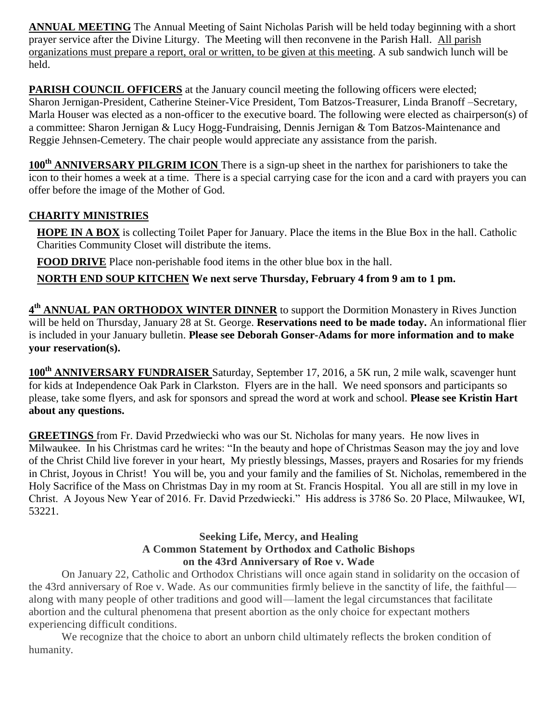**ANNUAL MEETING** The Annual Meeting of Saint Nicholas Parish will be held today beginning with a short prayer service after the Divine Liturgy. The Meeting will then reconvene in the Parish Hall. All parish organizations must prepare a report, oral or written, to be given at this meeting. A sub sandwich lunch will be held.

**PARISH COUNCIL OFFICERS** at the January council meeting the following officers were elected; Sharon Jernigan-President, Catherine Steiner-Vice President, Tom Batzos-Treasurer, Linda Branoff –Secretary, Marla Houser was elected as a non-officer to the executive board. The following were elected as chairperson(s) of a committee: Sharon Jernigan & Lucy Hogg-Fundraising, Dennis Jernigan & Tom Batzos-Maintenance and Reggie Jehnsen-Cemetery. The chair people would appreciate any assistance from the parish.

**100th ANNIVERSARY PILGRIM ICON** There is a sign-up sheet in the narthex for parishioners to take the icon to their homes a week at a time. There is a special carrying case for the icon and a card with prayers you can offer before the image of the Mother of God.

## **CHARITY MINISTRIES**

**HOPE IN A BOX** is collecting Toilet Paper for January. Place the items in the Blue Box in the hall. Catholic Charities Community Closet will distribute the items.

**FOOD DRIVE** Place non-perishable food items in the other blue box in the hall.

**NORTH END SOUP KITCHEN We next serve Thursday, February 4 from 9 am to 1 pm.**

**4 th ANNUAL PAN ORTHODOX WINTER DINNER** to support the Dormition Monastery in Rives Junction will be held on Thursday, January 28 at St. George. **Reservations need to be made today.** An informational flier is included in your January bulletin. **Please see Deborah Gonser-Adams for more information and to make your reservation(s).**

**100th ANNIVERSARY FUNDRAISER** Saturday, September 17, 2016, a 5K run, 2 mile walk, scavenger hunt for kids at Independence Oak Park in Clarkston. Flyers are in the hall. We need sponsors and participants so please, take some flyers, and ask for sponsors and spread the word at work and school. **Please see Kristin Hart about any questions.**

**GREETINGS** from Fr. David Przedwiecki who was our St. Nicholas for many years. He now lives in Milwaukee. In his Christmas card he writes: "In the beauty and hope of Christmas Season may the joy and love of the Christ Child live forever in your heart, My priestly blessings, Masses, prayers and Rosaries for my friends in Christ, Joyous in Christ! You will be, you and your family and the families of St. Nicholas, remembered in the Holy Sacrifice of the Mass on Christmas Day in my room at St. Francis Hospital. You all are still in my love in Christ. A Joyous New Year of 2016. Fr. David Przedwiecki." His address is 3786 So. 20 Place, Milwaukee, WI, 53221.

### **Seeking Life, Mercy, and Healing A Common Statement by Orthodox and Catholic Bishops on the 43rd Anniversary of Roe v. Wade**

On January 22, Catholic and Orthodox Christians will once again stand in solidarity on the occasion of the 43rd anniversary of Roe v. Wade. As our communities firmly believe in the sanctity of life, the faithful along with many people of other traditions and good will—lament the legal circumstances that facilitate abortion and the cultural phenomena that present abortion as the only choice for expectant mothers experiencing difficult conditions.

We recognize that the choice to abort an unborn child ultimately reflects the broken condition of humanity.